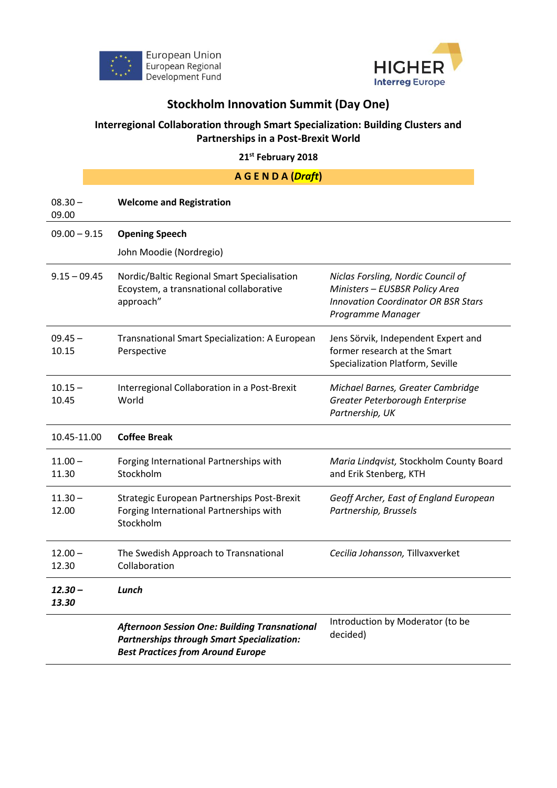



## **Stockholm Innovation Summit (Day One)**

## **Interregional Collaboration through Smart Specialization: Building Clusters and Partnerships in a Post-Brexit World**

**21st February 2018**

| AGENDA(Draft)      |                                                                                                                                                       |                                                                                                                                         |
|--------------------|-------------------------------------------------------------------------------------------------------------------------------------------------------|-----------------------------------------------------------------------------------------------------------------------------------------|
| $08.30 -$<br>09.00 | <b>Welcome and Registration</b>                                                                                                                       |                                                                                                                                         |
| $09.00 - 9.15$     | <b>Opening Speech</b>                                                                                                                                 |                                                                                                                                         |
|                    | John Moodie (Nordregio)                                                                                                                               |                                                                                                                                         |
| $9.15 - 09.45$     | Nordic/Baltic Regional Smart Specialisation<br>Ecoystem, a transnational collaborative<br>approach"                                                   | Niclas Forsling, Nordic Council of<br>Ministers - EUSBSR Policy Area<br><b>Innovation Coordinator OR BSR Stars</b><br>Programme Manager |
| $09.45 -$<br>10.15 | Transnational Smart Specialization: A European<br>Perspective                                                                                         | Jens Sörvik, Independent Expert and<br>former research at the Smart<br>Specialization Platform, Seville                                 |
| $10.15 -$<br>10.45 | Interregional Collaboration in a Post-Brexit<br>World                                                                                                 | Michael Barnes, Greater Cambridge<br>Greater Peterborough Enterprise<br>Partnership, UK                                                 |
| 10.45-11.00        | <b>Coffee Break</b>                                                                                                                                   |                                                                                                                                         |
| $11.00 -$<br>11.30 | Forging International Partnerships with<br>Stockholm                                                                                                  | Maria Lindqvist, Stockholm County Board<br>and Erik Stenberg, KTH                                                                       |
| $11.30 -$<br>12.00 | Strategic European Partnerships Post-Brexit<br>Forging International Partnerships with<br>Stockholm                                                   | Geoff Archer, East of England European<br>Partnership, Brussels                                                                         |
| $12.00 -$<br>12.30 | The Swedish Approach to Transnational<br>Collaboration                                                                                                | Cecilia Johansson, Tillvaxverket                                                                                                        |
| 12.30 –<br>13.30   | Lunch                                                                                                                                                 |                                                                                                                                         |
|                    | <b>Afternoon Session One: Building Transnational</b><br><b>Partnerships through Smart Specialization:</b><br><b>Best Practices from Around Europe</b> | Introduction by Moderator (to be<br>decided)                                                                                            |